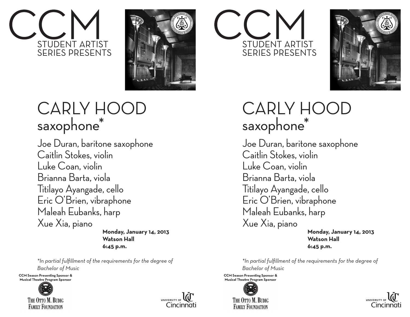



## CARLY HOC saxophone\*

Joe Duran, baritone saxophone Caitlin Stokes, violin Luke Coan, violin Brianna Barta, viola Titilayo Ayangade, cello Eric O'Brien, vibraphone Maleah Eubanks, harp Xue Xia, piano

 **Monday, January 14, 2013 Watson Hall 6:45 p.m.**

*\*In partial fulfillment of the requirements for the degree of Bachelor of Music* 

**CCM Season Presenting Sponsor & Musical Theatre Program Sponsor**